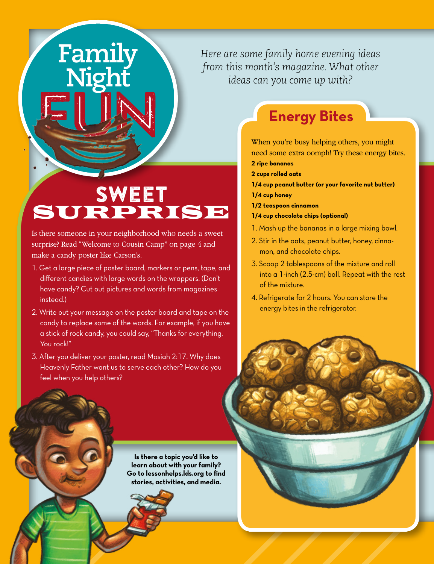#### *Here are some family home evening ideas from this month's magazine. What other ideas can you come up with?*

## SWEET SURPRISE

**Family<br>Night** 

Is there someone in your neighborhood who needs a sweet surprise? Read "Welcome to Cousin Camp" on page 4 and make a candy poster like Carson's.

- 1. Get a large piece of poster board, markers or pens, tape, and different candies with large words on the wrappers. (Don't have candy? Cut out pictures and words from magazines instead.)
- 2. Write out your message on the poster board and tape on the candy to replace some of the words. For example, if you have a stick of rock candy, you could say, "Thanks for everything. You rock!"
- 3. After you deliver your poster, read Mosiah 2:17. Why does Heavenly Father want us to serve each other? How do you feel when you help others?

**Is there a topic you'd like to learn about with your family? Go to lessonhelps.lds.org to find stories, activities, and media.**



**6** Friend

### **Energy Bites**

When you're busy helping others, you might need some extra oomph! Try these energy bites.

- **2 ripe bananas**
- **2 cups rolled oats**
- **1/4 cup peanut butter (or your favorite nut butter) 1/4 cup honey**
- **1/2 teaspoon cinnamon**
- **1/4 cup chocolate chips (optional)**
- 1. Mash up the bananas in a large mixing bowl.
- 2. Stir in the oats, peanut butter, honey, cinnamon, and chocolate chips.
- 3. Scoop 2 tablespoons of the mixture and roll into a 1-inch (2.5-cm) ball. Repeat with the rest of the mixture.
- 4. Refrigerate for 2 hours. You can store the energy bites in the refrigerator.